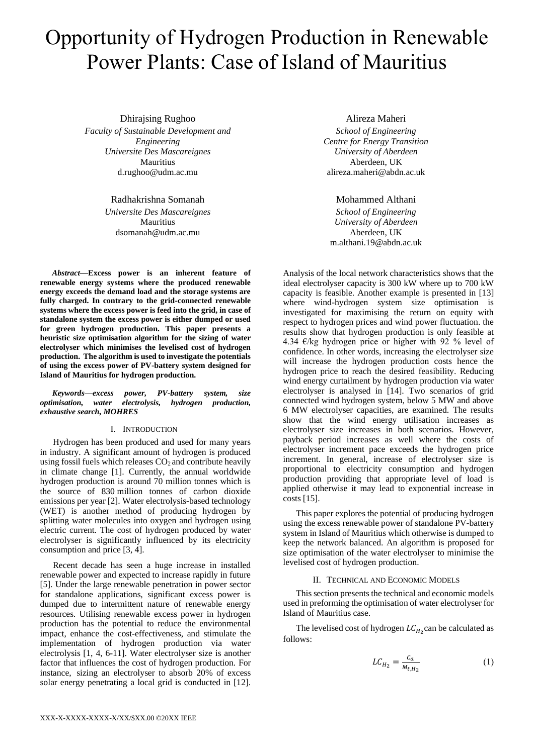# Opportunity of Hydrogen Production in Renewable Power Plants: Case of Island of Mauritius

Dhirajsing Rughoo *Faculty of Sustainable Development and Engineering Universite Des Mascareignes* Mauritius d.rughoo@udm.ac.mu

> Radhakrishna Somanah *Universite Des Mascareignes* Mauritius dsomanah@udm.ac.mu

*Abstract***—Excess power is an inherent feature of renewable energy systems where the produced renewable energy exceeds the demand load and the storage systems are fully charged. In contrary to the grid-connected renewable systems where the excess power is feed into the grid, in case of standalone system the excess power is either dumped or used for green hydrogen production. This paper presents a heuristic size optimisation algorithm for the sizing of water electrolyser which minimises the levelised cost of hydrogen production. The algorithm is used to investigate the potentials of using the excess power of PV-battery system designed for Island of Mauritius for hydrogen production.**

*Keywords—excess power, PV-battery system, size optimisation, water electrolysis, hydrogen production, exhaustive search, MOHRES*

## I. INTRODUCTION

Hydrogen has been produced and used for many years in industry. A significant amount of hydrogen is produced using fossil fuels which releases  $CO<sub>2</sub>$  and contribute heavily in climate change [1]. Currently, the annual worldwide hydrogen production is around 70 million tonnes which is the source of 830 million tonnes of carbon dioxide emissions per year [2]. Water electrolysis-based technology (WET) is another method of producing hydrogen by splitting water molecules into oxygen and hydrogen using electric current. The cost of hydrogen produced by water electrolyser is significantly influenced by its electricity consumption and price [3, 4].

Recent decade has seen a huge increase in installed renewable power and expected to increase rapidly in future [5]. Under the large renewable penetration in power sector for standalone applications, significant excess power is dumped due to intermittent nature of renewable energy resources. Utilising renewable excess power in hydrogen production has the potential to reduce the environmental impact, enhance the cost-effectiveness, and stimulate the implementation of hydrogen production via water electrolysis [1, 4, 6-11]. Water electrolyser size is another factor that influences the cost of hydrogen production. For instance, sizing an electrolyser to absorb 20% of excess solar energy penetrating a local grid is conducted in [12].

# Alireza Maheri

*School of Engineering Centre for Energy Transition University of Aberdeen* Aberdeen, UK alireza.maheri@abdn.ac.uk

Mohammed Althani

*School of Engineering University of Aberdeen* Aberdeen, UK m.althani.19@abdn.ac.uk

Analysis of the local network characteristics shows that the ideal electrolyser capacity is 300 kW where up to 700 kW capacity is feasible. Another example is presented in [13] where wind-hydrogen system size optimisation is investigated for maximising the return on equity with respect to hydrogen prices and wind power fluctuation. the results show that hydrogen production is only feasible at 4.34  $\epsilon$ /kg hydrogen price or higher with 92 % level of confidence. In other words, increasing the electrolyser size will increase the hydrogen production costs hence the hydrogen price to reach the desired feasibility. Reducing wind energy curtailment by hydrogen production via water electrolyser is analysed in [14]. Two scenarios of grid connected wind hydrogen system, below 5 MW and above 6 MW electrolyser capacities, are examined. The results show that the wind energy utilisation increases as electrolyser size increases in both scenarios. However, payback period increases as well where the costs of electrolyser increment pace exceeds the hydrogen price increment. In general, increase of electrolyser size is proportional to electricity consumption and hydrogen production providing that appropriate level of load is applied otherwise it may lead to exponential increase in costs [15].

This paper explores the potential of producing hydrogen using the excess renewable power of standalone PV-battery system in Island of Mauritius which otherwise is dumped to keep the network balanced. An algorithm is proposed for size optimisation of the water electrolyser to minimise the levelised cost of hydrogen production.

# II. TECHNICAL AND ECONOMIC MODELS

This section presents the technical and economic models used in preforming the optimisation of water electrolyser for Island of Mauritius case.

The levelised cost of hydrogen  $LC_{H_2}$ can be calculated as follows:

$$
LC_{H_2} = \frac{c_a}{M_{t,H_2}}\tag{1}
$$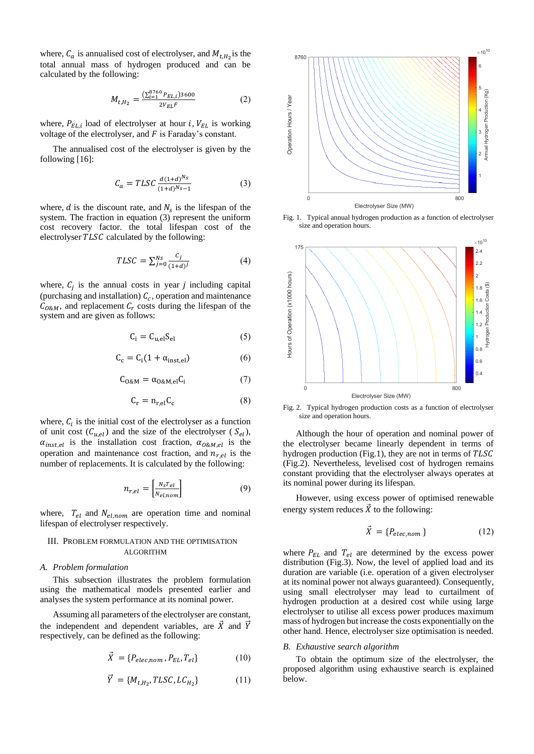where,  $C_a$  is annualised cost of electrolyser, and  $M_{t,H_2}$  is the total annual mass of hydrogen produced and can be calculated by the following:

$$
M_{t,H_2} = \frac{\left(\sum_{i=1}^{8760} P_{EL,i}\right)3600}{2V_{EL}F} \tag{2}
$$

where,  $P_{EL,i}$  load of electrolyser at hour *i*,  $V_{EL}$  is working voltage of the electrolyser, and  $F$  is Faraday's constant.

The annualised cost of the electrolyser is given by the following [16]:

$$
C_a = TLSC \frac{d(1+d)^{N_S}}{(1+d)^{N_S}-1}
$$
 (3)

where,  $d$  is the discount rate, and  $N_s$  is the lifespan of the system. The fraction in equation (3) represent the uniform cost recovery factor. the total lifespan cost of the electrolyser  $TLSC$  calculated by the following:

$$
TLSC = \sum_{j=0}^{Ns} \frac{c_j}{(1+d)^j}
$$
 (4)

where,  $C_j$  is the annual costs in year *j* including capital (purchasing and installation)  $C_c$ , operation and maintenance  $C_{O\&M}$ , and replacement  $C_r$  costs during the lifespan of the system and are given as follows:

$$
C_i = C_{u,el} S_{el} \tag{5}
$$

$$
C_c = C_i(1 + \alpha_{inst,el})
$$
 (6)

$$
C_{0\&M} = \alpha_{0\&M,el} C_i \tag{7}
$$

$$
C_r = n_{r,el} C_c \tag{8}
$$

where,  $C_i$  is the initial cost of the electrolyser as a function of unit cost  $(C_{u,el})$  and the size of the electrolyser (  $S_{el}$ ),  $\alpha_{inst,el}$  is the installation cost fraction,  $\alpha_{0\&M,el}$  is the operation and maintenance cost fraction, and  $n_{rel}$  is the number of replacements. It is calculated by the following:

$$
n_{r,el} = \begin{bmatrix} \frac{N_S T_{el}}{N_{el,nom}} \end{bmatrix} \tag{9}
$$

where,  $T_{el}$  and  $N_{el,nom}$  are operation time and nominal lifespan of electrolyser respectively.

# III. PROBLEM FORMULATION AND THE OPTIMISATION ALGORITHM

#### *A. Problem formulation*

This subsection illustrates the problem formulation using the mathematical models presented earlier and analyses the system performance at its nominal power.

Assuming all parameters of the electrolyser are constant, the independent and dependent variables, are  $\vec{X}$  and  $\vec{Y}$ respectively, can be defined as the following:

$$
\vec{X} = \{P_{elec,nom}, P_{EL}, T_{el}\}\tag{10}
$$

$$
\vec{Y} = \{M_{t,H_2}, TLSC, LC_{H_2}\}\tag{11}
$$



Fig. 1. Typical annual hydrogen production as a function of electrolyser size and operation hours.



Fig. 2. Typical hydrogen production costs as a function of electrolyser size and operation hours.

Although the hour of operation and nominal power of the electrolyser became linearly dependent in terms of hydrogen production (Fig.1), they are not in terms of  $TLSC$ (Fig.2). Nevertheless, levelised cost of hydrogen remains constant providing that the electrolyser always operates at its nominal power during its lifespan.

However, using excess power of optimised renewable energy system reduces  $\vec{X}$  to the following:

$$
\vec{X} = \{P_{elec,nom}\}\tag{12}
$$

where  $P_{EL}$  and  $T_{el}$  are determined by the excess power distribution (Fig.3). Now, the level of applied load and its duration are variable (i.e. operation of a given electrolyser at its nominal power not always guaranteed). Consequently, using small electrolyser may lead to curtailment of hydrogen production at a desired cost while using large electrolyser to utilise all excess power produces maximum mass of hydrogen but increase the costs exponentially on the other hand. Hence, electrolyser size optimisation is needed.

#### *B. Exhaustive search algorithm*

To obtain the optimum size of the electrolyser, the proposed algorithm using exhaustive search is explained below.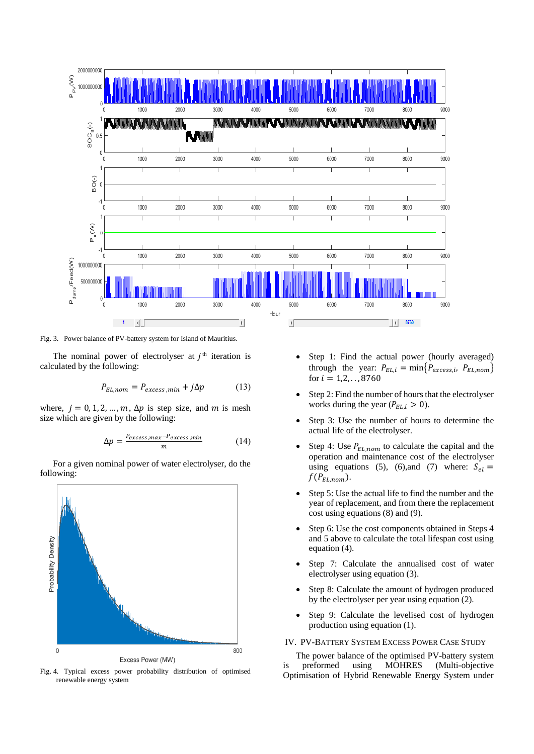

Fig. 3. Power balance of PV-battery system for Island of Mauritius.

The nominal power of electrolyser at  $j<sup>th</sup>$  iteration is calculated by the following:

$$
P_{EL,nom} = P_{excess,min} + j\Delta p \tag{13}
$$

where,  $j = 0, 1, 2, ..., m$ ,  $\Delta p$  is step size, and m is mesh size which are given by the following:

$$
\Delta p = \frac{P_{excess,max} - P_{excess,min}}{m} \tag{14}
$$

For a given nominal power of water electrolyser, do the following:



Fig. 4. Typical excess power probability distribution of optimised renewable energy system

- Step 1: Find the actual power (hourly averaged) through the year:  $P_{EL,i} = \min\{P_{excess,i}, P_{EL,nom}\}$ for  $i = 1, 2, \ldots, 8760$
- Step 2: Find the number of hours that the electrolyser works during the year ( $P_{EL,i} > 0$ ).
- Step 3: Use the number of hours to determine the actual life of the electrolyser.
- Step 4: Use  $P_{EL,nom}$  to calculate the capital and the operation and maintenance cost of the electrolyser using equations (5), (6), and (7) where:  $S_{el}$  =  $f(P_{EL,nom}).$
- Step 5: Use the actual life to find the number and the year of replacement, and from there the replacement cost using equations (8) and (9).
- Step 6: Use the cost components obtained in Steps 4 and 5 above to calculate the total lifespan cost using equation (4).
- Step 7: Calculate the annualised cost of water electrolyser using equation (3).
- Step 8: Calculate the amount of hydrogen produced by the electrolyser per year using equation (2).
- Step 9: Calculate the levelised cost of hydrogen production using equation (1).

### IV. PV-BATTERY SYSTEM EXCESS POWER CASE STUDY

The power balance of the optimised PV-battery system is preformed using MOHRES (Multi-objective Optimisation of Hybrid Renewable Energy System under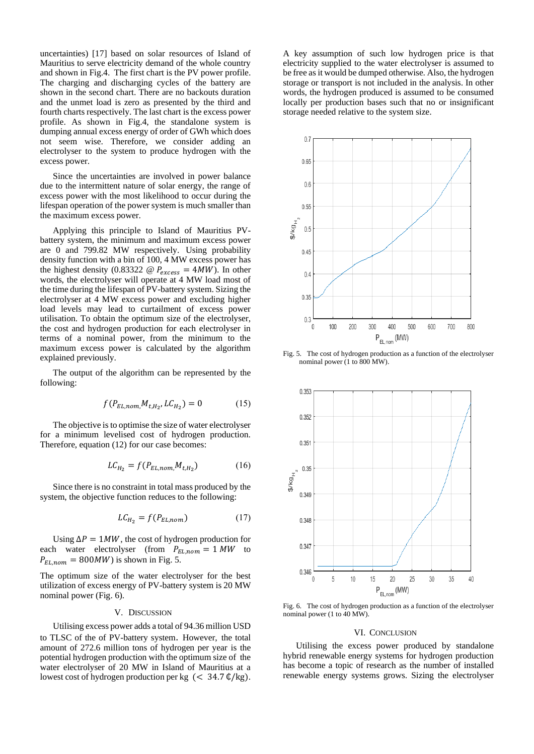uncertainties) [17] based on solar resources of Island of Mauritius to serve electricity demand of the whole country and shown in Fig.4. The first chart is the PV power profile. The charging and discharging cycles of the battery are shown in the second chart. There are no backouts duration and the unmet load is zero as presented by the third and fourth charts respectively. The last chart is the excess power profile. As shown in Fig.4, the standalone system is dumping annual excess energy of order of GWh which does not seem wise. Therefore, we consider adding an electrolyser to the system to produce hydrogen with the excess power.

Since the uncertainties are involved in power balance due to the intermittent nature of solar energy, the range of excess power with the most likelihood to occur during the lifespan operation of the power system is much smaller than the maximum excess power.

Applying this principle to Island of Mauritius PVbattery system, the minimum and maximum excess power are 0 and 799.82 MW respectively. Using probability density function with a bin of 100, 4 MW excess power has the highest density (0.83322  $\omega P_{excess} = 4MW$ ). In other words, the electrolyser will operate at 4 MW load most of the time during the lifespan of PV-battery system. Sizing the electrolyser at 4 MW excess power and excluding higher load levels may lead to curtailment of excess power utilisation. To obtain the optimum size of the electrolyser, the cost and hydrogen production for each electrolyser in terms of a nominal power, from the minimum to the maximum excess power is calculated by the algorithm explained previously.

The output of the algorithm can be represented by the following:

$$
f(P_{EL,nom,}M_{t,H_2}, LC_{H_2}) = 0 \tag{15}
$$

The objective is to optimise the size of water electrolyser for a minimum levelised cost of hydrogen production. Therefore, equation (12) for our case becomes:

$$
LC_{H_2} = f(P_{EL,nom,}M_{t,H_2})
$$
 (16)

Since there is no constraint in total mass produced by the system, the objective function reduces to the following:

$$
LC_{H_2} = f(P_{EL,nom})\tag{17}
$$

Using  $\Delta P = 1MW$ , the cost of hydrogen production for each water electrolyser (from  $P_{EL,nom} = 1 MW$  to  $P_{EL,nom} = 800MW$ ) is shown in Fig. 5.

The optimum size of the water electrolyser for the best utilization of excess energy of PV-battery system is 20 MW nominal power (Fig. 6).

## V. DISCUSSION

Utilising excess power adds a total of 94.36 million USD to TLSC of the of PV-battery system. However, the total amount of 272.6 million tons of hydrogen per year is the potential hydrogen production with the optimum size of the water electrolyser of 20 MW in Island of Mauritius at a lowest cost of hydrogen production per kg  $\approx 34.7 \frac{\text{d}}{\text{kg}}$ .

A key assumption of such low hydrogen price is that electricity supplied to the water electrolyser is assumed to be free as it would be dumped otherwise. Also, the hydrogen storage or transport is not included in the analysis. In other words, the hydrogen produced is assumed to be consumed locally per production bases such that no or insignificant storage needed relative to the system size.



Fig. 5. The cost of hydrogen production as a function of the electrolyser nominal power (1 to 800 MW).



Fig. 6. The cost of hydrogen production as a function of the electrolyser nominal power (1 to 40 MW).

# VI. CONCLUSION

Utilising the excess power produced by standalone hybrid renewable energy systems for hydrogen production has become a topic of research as the number of installed renewable energy systems grows. Sizing the electrolyser